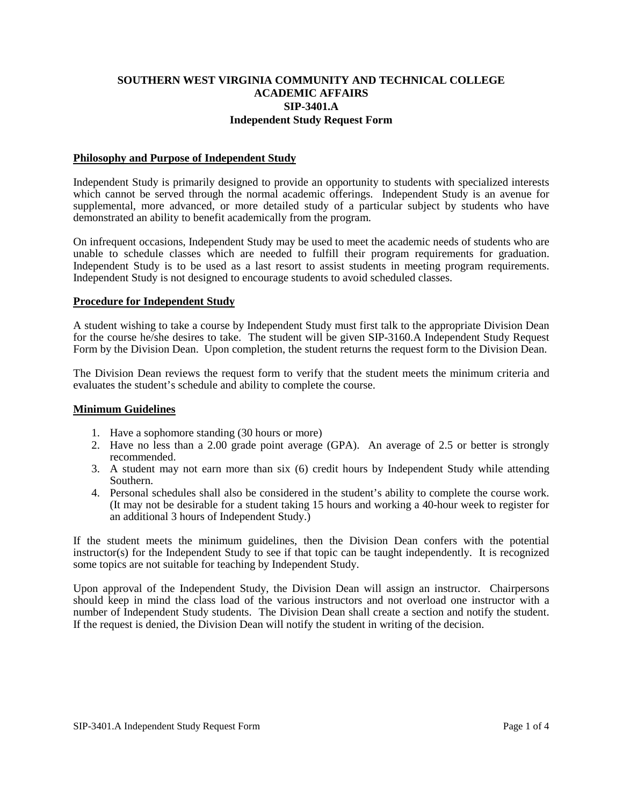## **SOUTHERN WEST VIRGINIA COMMUNITY AND TECHNICAL COLLEGE ACADEMIC AFFAIRS SIP-3401.A Independent Study Request Form**

### **Philosophy and Purpose of Independent Study**

Independent Study is primarily designed to provide an opportunity to students with specialized interests which cannot be served through the normal academic offerings. Independent Study is an avenue for supplemental, more advanced, or more detailed study of a particular subject by students who have demonstrated an ability to benefit academically from the program.

On infrequent occasions, Independent Study may be used to meet the academic needs of students who are unable to schedule classes which are needed to fulfill their program requirements for graduation. Independent Study is to be used as a last resort to assist students in meeting program requirements. Independent Study is not designed to encourage students to avoid scheduled classes.

### **Procedure for Independent Study**

A student wishing to take a course by Independent Study must first talk to the appropriate Division Dean for the course he/she desires to take. The student will be given SIP-3160.A Independent Study Request Form by the Division Dean. Upon completion, the student returns the request form to the Division Dean.

The Division Dean reviews the request form to verify that the student meets the minimum criteria and evaluates the student's schedule and ability to complete the course.

#### **Minimum Guidelines**

- 1. Have a sophomore standing (30 hours or more)
- 2. Have no less than a 2.00 grade point average (GPA). An average of 2.5 or better is strongly recommended.
- 3. A student may not earn more than six (6) credit hours by Independent Study while attending Southern.
- 4. Personal schedules shall also be considered in the student's ability to complete the course work. (It may not be desirable for a student taking 15 hours and working a 40-hour week to register for an additional 3 hours of Independent Study.)

If the student meets the minimum guidelines, then the Division Dean confers with the potential instructor(s) for the Independent Study to see if that topic can be taught independently. It is recognized some topics are not suitable for teaching by Independent Study.

Upon approval of the Independent Study, the Division Dean will assign an instructor. Chairpersons should keep in mind the class load of the various instructors and not overload one instructor with a number of Independent Study students. The Division Dean shall create a section and notify the student. If the request is denied, the Division Dean will notify the student in writing of the decision.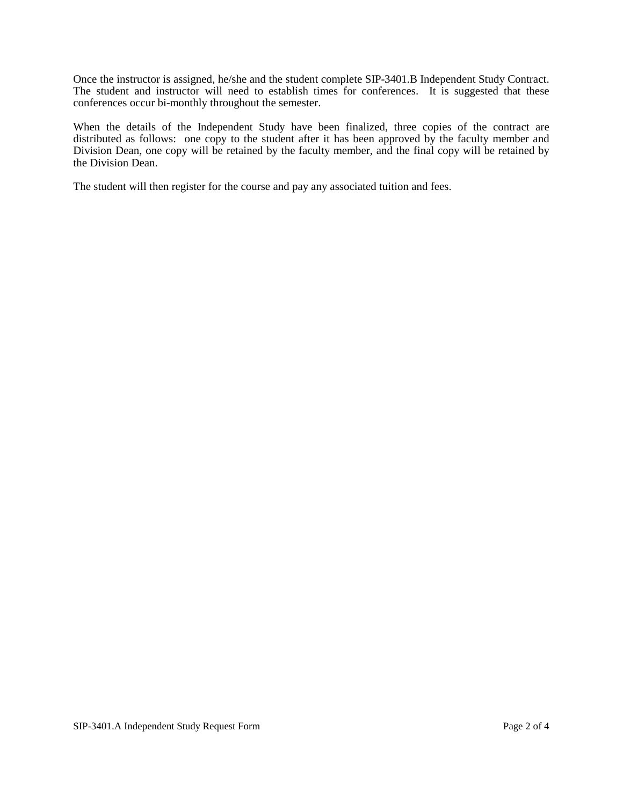Once the instructor is assigned, he/she and the student complete SIP-3401.B Independent Study Contract. The student and instructor will need to establish times for conferences. It is suggested that these conferences occur bi-monthly throughout the semester.

When the details of the Independent Study have been finalized, three copies of the contract are distributed as follows: one copy to the student after it has been approved by the faculty member and Division Dean, one copy will be retained by the faculty member, and the final copy will be retained by the Division Dean.

The student will then register for the course and pay any associated tuition and fees.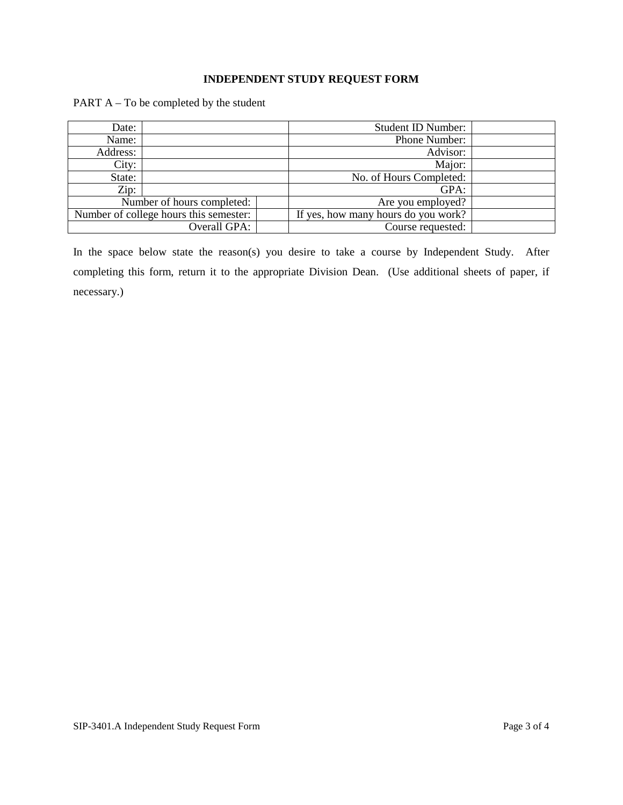# **INDEPENDENT STUDY REQUEST FORM**

PART A – To be completed by the student

| Date:                                  |  |                                     | <b>Student ID Number:</b> |  |
|----------------------------------------|--|-------------------------------------|---------------------------|--|
| Name:                                  |  |                                     | Phone Number:             |  |
| Address:                               |  |                                     | Advisor:                  |  |
| City:                                  |  |                                     | Major:                    |  |
| State:                                 |  |                                     | No. of Hours Completed:   |  |
| Zip:                                   |  |                                     | GPA:                      |  |
| Number of hours completed:             |  | Are you employed?                   |                           |  |
| Number of college hours this semester: |  | If yes, how many hours do you work? |                           |  |
| Overall GPA:                           |  | Course requested:                   |                           |  |

In the space below state the reason(s) you desire to take a course by Independent Study. After completing this form, return it to the appropriate Division Dean. (Use additional sheets of paper, if necessary.)